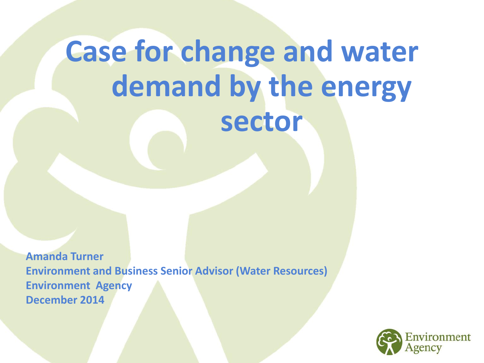# **Case for change and water demand by the energy sector**

**Amanda Turner Environment and Business Senior Advisor (Water Resources) Environment Agency December 2014**

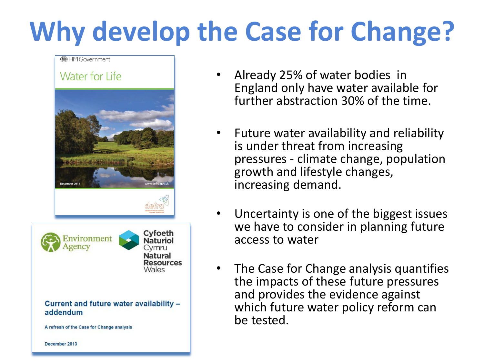# **Why develop the Case for Change?**

#### (B) HM Government





Current and future water availability addendum

A refresh of the Case for Change analysis

December 2013

- Already 25% of water bodies in England only have water available for further abstraction 30% of the time.
- Future water availability and reliability is under threat from increasing pressures - climate change, population growth and lifestyle changes, increasing demand.
- Uncertainty is one of the biggest issues we have to consider in planning future access to water
- The Case for Change analysis quantifies the impacts of these future pressures and provides the evidence against which future water policy reform can be tested.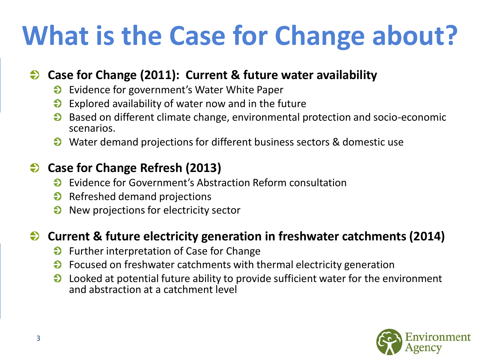# **What is the Case for Change about?**

### **Case for Change (2011): Current & future water availability**

- Evidence for government's Water White Paper  $\boldsymbol{\Theta}$
- $\bullet$  Explored availability of water now and in the future
- Based on different climate change, environmental protection and socio-economic scenarios.
- Water demand projections for different business sectors & domestic use

## **Case for Change Refresh (2013)**

- Evidence for Government's Abstraction Reform consultation  $\Theta$
- $\Theta$  Refreshed demand projections
- New projections for electricity sector  $\Theta$

### **Current & future electricity generation in freshwater catchments (2014)**

- **Further interpretation of Case for Change**
- $\Theta$  Focused on freshwater catchments with thermal electricity generation
- $\boldsymbol{\Theta}$ Looked at potential future ability to provide sufficient water for the environment and abstraction at a catchment level

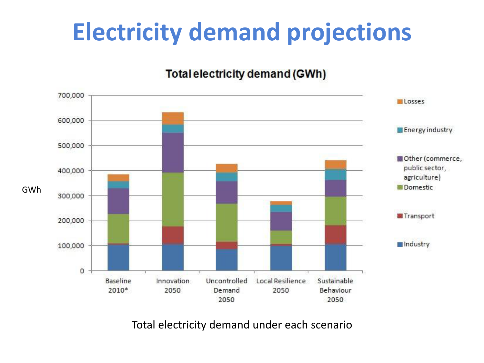## **Electricity demand projections**

#### Total electricity demand (GWh)



Total electricity demand under each scenario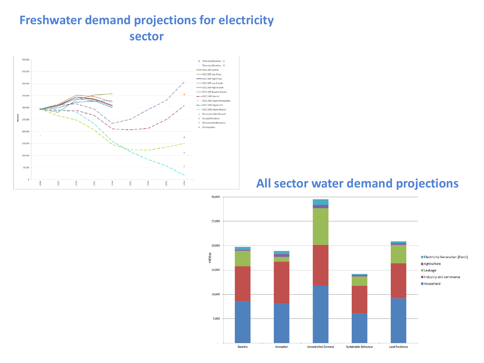### **Freshwater demand projections for electricity sector**



#### **All sector water demand projections**

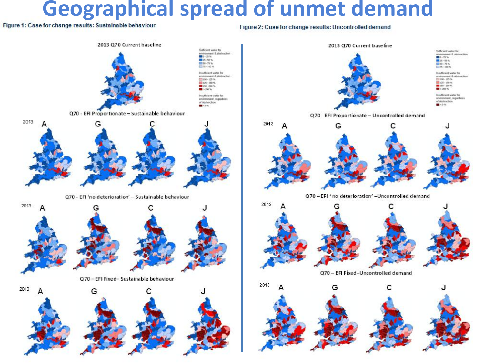## **Geographical spread of unmet demand**

Figure 2: Case for change results: Uncontrolled demand



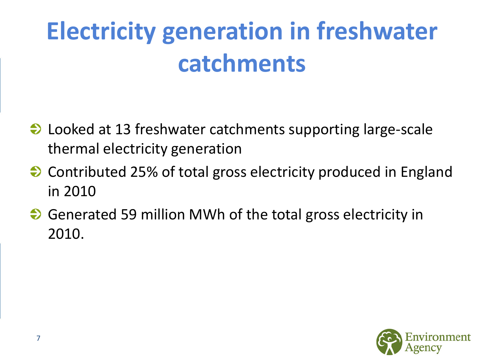## **Electricity generation in freshwater catchments**

- **→** Looked at 13 freshwater catchments supporting large-scale thermal electricity generation
- **→** Contributed 25% of total gross electricity produced in England in 2010
- ◆ Generated 59 million MWh of the total gross electricity in 2010.

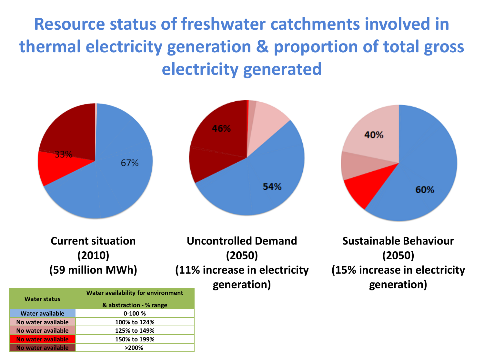**Resource status of freshwater catchments involved in thermal electricity generation & proportion of total gross electricity generated**



#### **Current situation (2010) (59 million MWh)**

**Uncontrolled Demand (2050) (11% increase in electricity generation)**

**Sustainable Behaviour (2050) (15% increase in electricity generation)**

| <b>Water status</b>    | <b>Water availability for environment</b><br>& abstraction - % range |
|------------------------|----------------------------------------------------------------------|
| <b>Water available</b> | $0-100%$                                                             |
| No water available     | 100% to 124%                                                         |
| No water available     | 125% to 149%                                                         |
| No water available     | 150% to 199%                                                         |
| No water available     | $>200\%$                                                             |